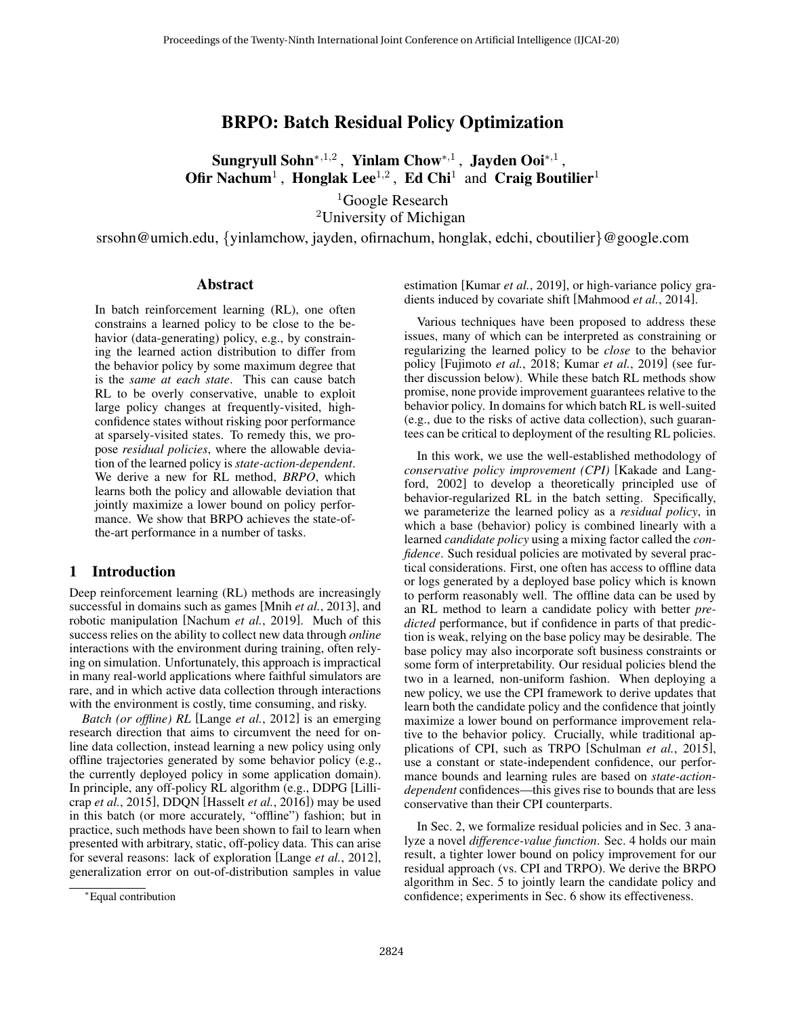# BRPO: Batch Residual Policy Optimization

Sungryull Sohn $^{*,1,2}$ , Yinlam Chow $^{*,1}$ , Jayden Ooi $^{*,1}$ , Ofir Nachum<sup>1</sup>, Honglak Lee<sup>1,2</sup>, Ed Chi<sup>1</sup> and Craig Boutilier<sup>1</sup>

> ${}^{1}$ Google Research <sup>2</sup>University of Michigan

srsohn@umich.edu, {yinlamchow, jayden, ofirnachum, honglak, edchi, cboutilier}@google.com

#### Abstract

In batch reinforcement learning (RL), one often constrains a learned policy to be close to the behavior (data-generating) policy, e.g., by constraining the learned action distribution to differ from the behavior policy by some maximum degree that is the *same at each state*. This can cause batch RL to be overly conservative, unable to exploit large policy changes at frequently-visited, highconfidence states without risking poor performance at sparsely-visited states. To remedy this, we propose *residual policies*, where the allowable deviation of the learned policy is *state-action-dependent*. We derive a new for RL method, *BRPO*, which learns both the policy and allowable deviation that jointly maximize a lower bound on policy performance. We show that BRPO achieves the state-ofthe-art performance in a number of tasks.

### 1 Introduction

Deep reinforcement learning (RL) methods are increasingly successful in domains such as games [Mnih *et al.*[, 2013\]](#page-6-0), and robotic manipulation [\[Nachum](#page-6-1) *et al.*, 2019]. Much of this success relies on the ability to collect new data through *online* interactions with the environment during training, often relying on simulation. Unfortunately, this approach is impractical in many real-world applications where faithful simulators are rare, and in which active data collection through interactions with the environment is costly, time consuming, and risky.

*Batch (or offline) RL* [Lange *et al.*[, 2012\]](#page-6-2) is an emerging research direction that aims to circumvent the need for online data collection, instead learning a new policy using only offline trajectories generated by some behavior policy (e.g., the currently deployed policy in some application domain). In principle, any off-policy RL algorithm (e.g., DDPG [\[Lilli](#page-6-3)crap *et al.*[, 2015\]](#page-6-3), DDQN [\[Hasselt](#page-6-4) *et al.*, 2016]) may be used in this batch (or more accurately, "offline") fashion; but in practice, such methods have been shown to fail to learn when presented with arbitrary, static, off-policy data. This can arise for several reasons: lack of exploration [Lange *et al.*[, 2012\]](#page-6-2), generalization error on out-of-distribution samples in value estimation [\[Kumar](#page-6-5) *et al.*, 2019], or high-variance policy gradients induced by covariate shift [\[Mahmood](#page-6-6) *et al.*, 2014].

Various techniques have been proposed to address these issues, many of which can be interpreted as constraining or regularizing the learned policy to be *close* to the behavior policy [\[Fujimoto](#page-6-7) *et al.*, 2018; Kumar *et al.*[, 2019\]](#page-6-5) (see further discussion below). While these batch RL methods show promise, none provide improvement guarantees relative to the behavior policy. In domains for which batch RL is well-suited (e.g., due to the risks of active data collection), such guarantees can be critical to deployment of the resulting RL policies.

In this work, we use the well-established methodology of *conservative policy improvement (CPI)* [\[Kakade and Lang](#page-6-8)[ford, 2002\]](#page-6-8) to develop a theoretically principled use of behavior-regularized RL in the batch setting. Specifically, we parameterize the learned policy as a *residual policy*, in which a base (behavior) policy is combined linearly with a learned *candidate policy* using a mixing factor called the *confidence*. Such residual policies are motivated by several practical considerations. First, one often has access to offline data or logs generated by a deployed base policy which is known to perform reasonably well. The offline data can be used by an RL method to learn a candidate policy with better *predicted* performance, but if confidence in parts of that prediction is weak, relying on the base policy may be desirable. The base policy may also incorporate soft business constraints or some form of interpretability. Our residual policies blend the two in a learned, non-uniform fashion. When deploying a new policy, we use the CPI framework to derive updates that learn both the candidate policy and the confidence that jointly maximize a lower bound on performance improvement relative to the behavior policy. Crucially, while traditional applications of CPI, such as TRPO [\[Schulman](#page-6-9) *et al.*, 2015], use a constant or state-independent confidence, our performance bounds and learning rules are based on *state-actiondependent* confidences—this gives rise to bounds that are less conservative than their CPI counterparts.

In Sec. 2, we formalize residual policies and in Sec. 3 analyze a novel *difference-value function*. Sec. 4 holds our main result, a tighter lower bound on policy improvement for our residual approach (vs. CPI and TRPO). We derive the BRPO algorithm in Sec. 5 to jointly learn the candidate policy and confidence; experiments in Sec. 6 show its effectiveness.

<sup>∗</sup>Equal contribution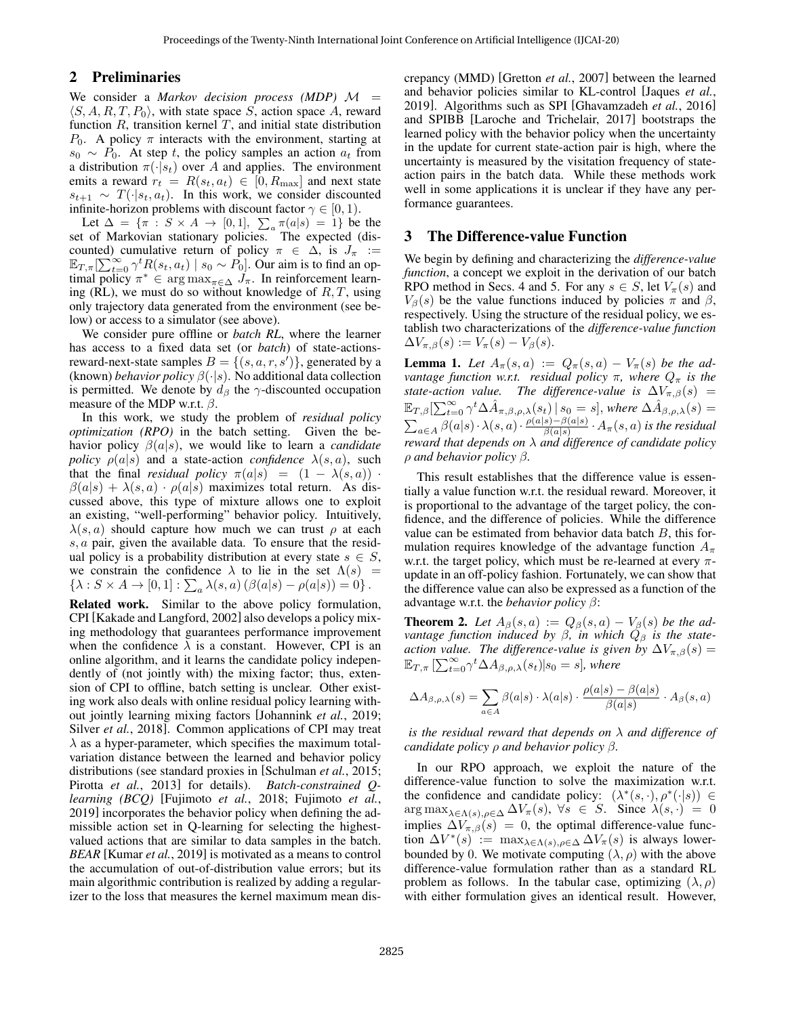### 2 Preliminaries

We consider a *Markov decision process (MDP)*  $M =$  $\langle S, A, R, T, P_0 \rangle$ , with state space S, action space A, reward function  $R$ , transition kernel  $T$ , and initial state distribution  $P_0$ . A policy  $\pi$  interacts with the environment, starting at  $s_0 \sim P_0$ . At step t, the policy samples an action  $a_t$  from a distribution  $\pi(\cdot|s_t)$  over A and applies. The environment emits a reward  $r_t = R(s_t, a_t) \in [0, R_{\text{max}}]$  and next state  $s_{t+1} \sim T(\cdot|s_t, a_t)$ . In this work, we consider discounted infinite-horizon problems with discount factor  $\gamma \in [0, 1)$ .

Let  $\Delta = \{\pi : S \times A \to [0,1], \sum_a \pi(a|s) = 1\}$  be the set of Markovian stationary policies. The expected (discounted) cumulative return of policy  $\pi \in \Delta$ , is  $J_{\pi} :=$  $\mathbb{E}_{T,\pi}[\sum_{t=0}^{\infty} \gamma^t R(s_t, a_t) \mid s_0 \sim P_0]$ . Our aim is to find an optimal policy  $\pi^* \in \arg \max_{\pi \in \Delta} \tilde{J}_\pi$ . In reinforcement learning (RL), we must do so without knowledge of  $R, T$ , using only trajectory data generated from the environment (see below) or access to a simulator (see above).

We consider pure offline or *batch RL*, where the learner has access to a fixed data set (or *batch*) of state-actionsreward-next-state samples  $B = \{(s, a, r, s')\}$ , generated by a (known) *behavior policy* β(·|s). No additional data collection is permitted. We denote by  $d_{\beta}$  the  $\gamma$ -discounted occupation measure of the MDP w.r.t.  $\beta$ .

In this work, we study the problem of *residual policy optimization (RPO)* in the batch setting. Given the behavior policy β(a|s), we would like to learn a *candidate policy*  $\rho(a|s)$  and a state-action *confidence*  $\lambda(s, a)$ , such that the final *residual policy*  $\pi(a|s) = (1 - \lambda(s, a))$ .  $\beta(a|s) + \lambda(s,a) \cdot \rho(a|s)$  maximizes total return. As discussed above, this type of mixture allows one to exploit an existing, "well-performing" behavior policy. Intuitively,  $\lambda(s, a)$  should capture how much we can trust  $\rho$  at each s, a pair, given the available data. To ensure that the residual policy is a probability distribution at every state  $s \in S$ , we constrain the confidence  $\lambda$  to lie in the set  $\Lambda(s)$  =  $\{\lambda: S \times A \to [0,1] : \sum_a \lambda(s,a) (\beta(a|s) - \rho(a|s)) = 0\}.$ 

Related work. Similar to the above policy formulation, CPI [\[Kakade and Langford, 2002\]](#page-6-8) also develops a policy mixing methodology that guarantees performance improvement when the confidence  $\lambda$  is a constant. However, CPI is an online algorithm, and it learns the candidate policy independently of (not jointly with) the mixing factor; thus, extension of CPI to offline, batch setting is unclear. Other existing work also deals with online residual policy learning without jointly learning mixing factors [\[Johannink](#page-6-10) *et al.*, 2019; Silver *et al.*[, 2018\]](#page-6-11). Common applications of CPI may treat  $\lambda$  as a hyper-parameter, which specifies the maximum totalvariation distance between the learned and behavior policy distributions (see standard proxies in [\[Schulman](#page-6-9) *et al.*, 2015; Pirotta *et al.*[, 2013\]](#page-6-12) for details). *Batch-constrained Qlearning (BCQ)* [\[Fujimoto](#page-6-7) *et al.*, 2018; [Fujimoto](#page-6-13) *et al.*, [2019\]](#page-6-13) incorporates the behavior policy when defining the admissible action set in Q-learning for selecting the highestvalued actions that are similar to data samples in the batch. *BEAR* [\[Kumar](#page-6-5) *et al.*, 2019] is motivated as a means to control the accumulation of out-of-distribution value errors; but its main algorithmic contribution is realized by adding a regularizer to the loss that measures the kernel maximum mean discrepancy (MMD) [\[Gretton](#page-6-14) *et al.*, 2007] between the learned and behavior policies similar to KL-control [\[Jaques](#page-6-15) *et al.*, [2019\]](#page-6-15). Algorithms such as SPI [\[Ghavamzadeh](#page-6-16) *et al.*, 2016] and SPIBB [\[Laroche and Trichelair, 2017\]](#page-6-17) bootstraps the learned policy with the behavior policy when the uncertainty in the update for current state-action pair is high, where the uncertainty is measured by the visitation frequency of stateaction pairs in the batch data. While these methods work well in some applications it is unclear if they have any performance guarantees.

### 3 The Difference-value Function

We begin by defining and characterizing the *difference-value function*, a concept we exploit in the derivation of our batch RPO method in Secs. 4 and 5. For any  $s \in S$ , let  $V_\pi(s)$  and  $V_\beta(s)$  be the value functions induced by policies  $\pi$  and  $\beta$ , respectively. Using the structure of the residual policy, we establish two characterizations of the *difference-value function*  $\Delta V_{\pi,\beta}(s) := V_{\pi}(s) - V_{\beta}(s).$ 

<span id="page-1-1"></span>**Lemma 1.** Let  $A_\pi(s, a) := Q_\pi(s, a) - V_\pi(s)$  be the ad*vantage function w.r.t. residual policy*  $\pi$ *, where*  $Q_{\pi}$  *is the state-action value. The difference-value is*  $\Delta V_{\pi,\beta}(s)$  =  $\mathbb{E}_{T,\beta}[\sum_{t=0}^{\infty}\gamma^{t}\Delta\hat{A}_{\pi,\beta,\rho,\lambda}(s_{t})\,|\,s_{0}=s],$  where  $\Delta\hat{A}_{\beta,\rho,\lambda}(s)=$  $\sum_{a\in A} \beta(a|s)\cdot \lambda(s,a)\cdot \frac{\rho(a|s)-\beta(a|s)}{\beta(a|s)}$  $\frac{s)-\beta(a|s)}{\beta(a|s)}\cdot A_\pi(s,a)$  is the residual *reward that depends on* λ *and difference of candidate policy* ρ *and behavior policy* β*.*

This result establishes that the difference value is essentially a value function w.r.t. the residual reward. Moreover, it is proportional to the advantage of the target policy, the confidence, and the difference of policies. While the difference value can be estimated from behavior data batch  $B$ , this formulation requires knowledge of the advantage function  $A_{\pi}$ w.r.t. the target policy, which must be re-learned at every  $\pi$ update in an off-policy fashion. Fortunately, we can show that the difference value can also be expressed as a function of the advantage w.r.t. the *behavior policy* β:

<span id="page-1-0"></span>**Theorem 2.** Let  $A_{\beta}(s, a) := Q_{\beta}(s, a) - V_{\beta}(s)$  be the ad*vantage function induced by β, in which*  $Q<sub>β</sub>$  *is the stateaction value. The difference-value is given by*  $\Delta V_{\pi,\beta}(s)$  =  $\mathbb{E}_{T,\pi}\left[\sum_{t=0}^{\infty}\gamma^{t}\Delta A_{\beta,\rho,\lambda}(s_{t})|s_{0}=s\right]$ , where

$$
\Delta A_{\beta,\rho,\lambda}(s) = \sum_{a \in A} \beta(a|s) \cdot \lambda(a|s) \cdot \frac{\rho(a|s) - \beta(a|s)}{\beta(a|s)} \cdot A_{\beta}(s,a)
$$

*is the residual reward that depends on* λ *and difference of candidate policy* ρ *and behavior policy* β*.*

In our RPO approach, we exploit the nature of the difference-value function to solve the maximization w.r.t. the confidence and candidate policy:  $(\lambda^*(s, \cdot), \rho^*(\cdot | s)) \in$  $\arg \max_{\lambda \in \Lambda(s), \rho \in \Delta} \Delta V_{\pi}(s)$ ,  $\forall s \in S$ . Since  $\lambda(s, \cdot) = 0$ implies  $\Delta V_{\pi,\beta}(s) = 0$ , the optimal difference-value function  $\Delta V^*(s)$  := max $\lambda \in \Lambda(s)$ ,  $\rho \in \Delta \Delta V_\pi(s)$  is always lowerbounded by 0. We motivate computing  $(\lambda, \rho)$  with the above difference-value formulation rather than as a standard RL problem as follows. In the tabular case, optimizing  $(\lambda, \rho)$ with either formulation gives an identical result. However,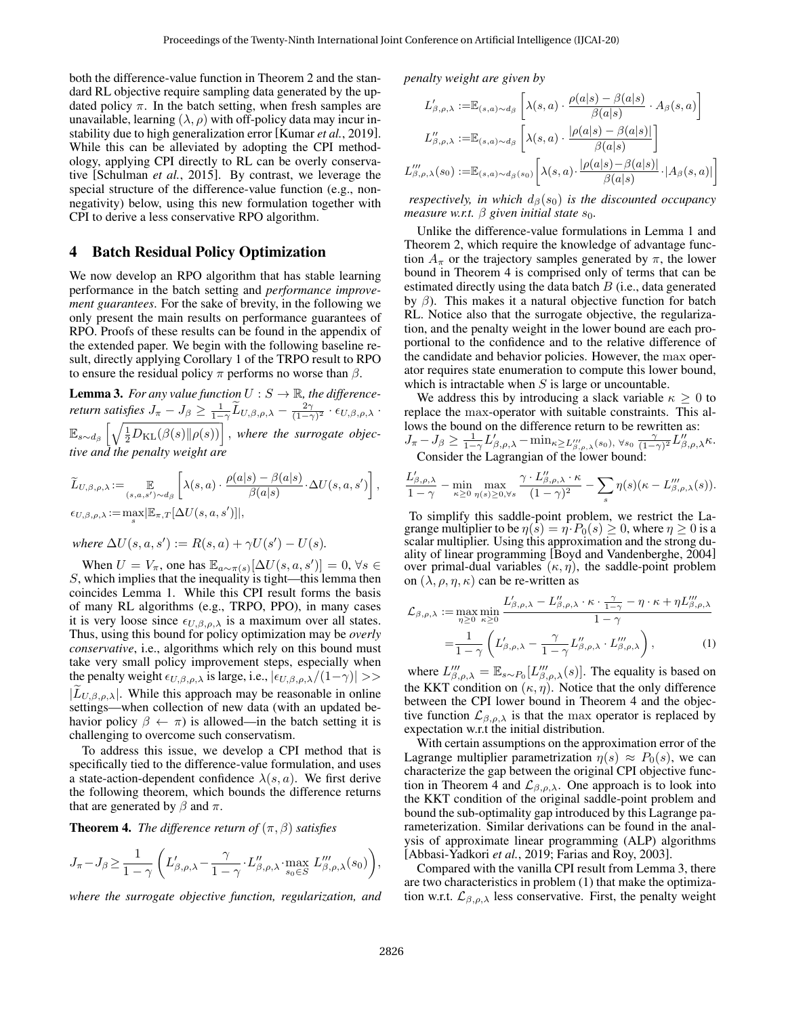both the difference-value function in Theorem [2](#page-1-0) and the standard RL objective require sampling data generated by the updated policy  $\pi$ . In the batch setting, when fresh samples are unavailable, learning  $(\lambda, \rho)$  with off-policy data may incur instability due to high generalization error [\[Kumar](#page-6-5) *et al.*, 2019]. While this can be alleviated by adopting the CPI methodology, applying CPI directly to RL can be overly conservative [\[Schulman](#page-6-9) *et al.*, 2015]. By contrast, we leverage the special structure of the difference-value function (e.g., nonnegativity) below, using this new formulation together with CPI to derive a less conservative RPO algorithm.

### 4 Batch Residual Policy Optimization

We now develop an RPO algorithm that has stable learning performance in the batch setting and *performance improvement guarantees*. For the sake of brevity, in the following we only present the main results on performance guarantees of RPO. Proofs of these results can be found in the appendix of the extended paper. We begin with the following baseline result, directly applying Corollary 1 of the TRPO result to RPO to ensure the residual policy  $\pi$  performs no worse than  $\beta$ .

<span id="page-2-1"></span>**Lemma 3.** *For any value function*  $U : S \to \mathbb{R}$ *, the differencereturn satisfies*  $J_{\pi} - J_{\beta} \ge \frac{1}{1-\gamma} \widetilde{L}_{U,\beta,\rho,\lambda} - \frac{2\gamma}{(1-\gamma)^2} \cdot \epsilon_{U,\beta,\rho,\lambda}$ .  $\mathbb{E}_{s\sim d_{\beta}}\left[\sqrt{\frac{1}{2}D_{\text{KL}}(\beta(s)\|\rho(s))}\right],$  where the surrogate objec*tive and the penalty weight are*

$$
\widetilde{L}_{U,\beta,\rho,\lambda} := \mathop{\mathbb{E}}_{(s,a,s') \sim d_{\beta}} \left[ \lambda(s,a) \cdot \frac{\rho(a|s) - \beta(a|s)}{\beta(a|s)} \cdot \Delta U(s,a,s') \right],
$$
  

$$
\epsilon_{U,\beta,\rho,\lambda} := \max_s |\mathbb{E}_{\pi,T}[\Delta U(s,a,s')]|,
$$

where 
$$
\Delta U(s, a, s') := R(s, a) + \gamma U(s') - U(s)
$$
.

When  $U = V_{\pi}$ , one has  $\mathbb{E}_{a \sim \pi(s)}[\Delta U(s, a, s')] = 0, \forall s \in$  $S$ , which implies that the inequality is tight—this lemma then coincides Lemma [1.](#page-1-1) While this CPI result forms the basis of many RL algorithms (e.g., TRPO, PPO), in many cases it is very loose since  $\epsilon_{U,\beta,\rho,\lambda}$  is a maximum over all states. Thus, using this bound for policy optimization may be *overly conservative*, i.e., algorithms which rely on this bound must take very small policy improvement steps, especially when the penalty weight  $\epsilon_{U,\beta,\rho,\lambda}$  is large, i.e.,  $|\epsilon_{U,\beta,\rho,\lambda}/(1-\gamma)| >>$  $|L_{U,\beta,\rho,\lambda}|$ . While this approach may be reasonable in online settings—when collection of new data (with an updated behavior policy  $\beta \leftarrow \pi$ ) is allowed—in the batch setting it is challenging to overcome such conservatism.

To address this issue, we develop a CPI method that is specifically tied to the difference-value formulation, and uses a state-action-dependent confidence  $\lambda(s, a)$ . We first derive the following theorem, which bounds the difference returns that are generated by  $\beta$  and  $\pi$ .

<span id="page-2-0"></span>**Theorem 4.** *The difference return of*  $(\pi, \beta)$  *satisfies* 

$$
J_{\pi}-J_{\beta}\geq \frac{1}{1-\gamma}\left(L'_{\beta,\rho,\lambda}-\frac{\gamma}{1-\gamma}\cdot L''_{\beta,\rho,\lambda}\cdot \max_{s_0\in S}\,L''_{\beta,\rho,\lambda}(s_0)\right),
$$

*where the surrogate objective function, regularization, and*

*penalty weight are given by*

$$
L'_{\beta,\rho,\lambda} := \mathbb{E}_{(s,a)\sim d_{\beta}} \left[ \lambda(s,a) \cdot \frac{\rho(a|s) - \beta(a|s)}{\beta(a|s)} \cdot A_{\beta}(s,a) \right]
$$

$$
L''_{\beta,\rho,\lambda} := \mathbb{E}_{(s,a)\sim d_{\beta}} \left[ \lambda(s,a) \cdot \frac{|\rho(a|s) - \beta(a|s)|}{\beta(a|s)} \right]
$$

$$
L'''_{\beta,\rho,\lambda}(s_0) := \mathbb{E}_{(s,a)\sim d_{\beta}(s_0)} \left[ \lambda(s,a) \cdot \frac{|\rho(a|s) - \beta(a|s)|}{\beta(a|s)} \cdot |A_{\beta}(s,a)| \right]
$$

*respectively, in which*  $d_{\beta}(s_0)$  *is the discounted occupancy measure w.r.t.*  $\beta$  *given initial state*  $s_0$ *.* 

Unlike the difference-value formulations in Lemma [1](#page-1-1) and Theorem [2,](#page-1-0) which require the knowledge of advantage function  $A_\pi$  or the trajectory samples generated by  $\pi$ , the lower bound in Theorem [4](#page-2-0) is comprised only of terms that can be estimated directly using the data batch  $B$  (i.e., data generated by  $β$ ). This makes it a natural objective function for batch RL. Notice also that the surrogate objective, the regularization, and the penalty weight in the lower bound are each proportional to the confidence and to the relative difference of the candidate and behavior policies. However, the max operator requires state enumeration to compute this lower bound, which is intractable when  $S$  is large or uncountable.

We address this by introducing a slack variable  $\kappa \geq 0$  to replace the max-operator with suitable constraints. This allows the bound on the difference return to be rewritten as:<br> $I = I_0 \ge \frac{1}{2} I' = \min_{i=1}^{\infty} I''$ 

$$
J_{\pi} - J_{\beta} \ge \frac{1}{1-\gamma} L'_{\beta,\rho,\lambda} - \min_{\kappa \ge L''_{\beta,\rho,\lambda}(s_0), \ \forall s_0} \frac{\gamma}{(1-\gamma)^2} L''_{\beta,\rho,\lambda} \kappa.
$$
  
Consider the Lagrangian of the lower bound:

$$
\frac{L'_{\beta,\rho,\lambda}}{1-\gamma}-\min_{\kappa\geq 0}\max_{\eta(s)\geq 0,\forall s}\frac{\gamma\cdot L''_{\beta,\rho,\lambda}\cdot\kappa}{(1-\gamma)^2}-\sum_s\eta(s)(\kappa-L''_{\beta,\rho,\lambda}(s)).
$$

To simplify this saddle-point problem, we restrict the Lagrange multiplier to be  $\eta(s) = \eta \cdot P_0(s) \ge 0$ , where  $\eta \ge 0$  is a scalar multiplier. Using this approximation and the strong duality of linear programming [\[Boyd and Vandenberghe, 2004\]](#page-6-18) over primal-dual variables  $(\kappa, \eta)$ , the saddle-point problem on  $(\lambda, \rho, \eta, \kappa)$  can be re-written as

<span id="page-2-2"></span>
$$
\mathcal{L}_{\beta,\rho,\lambda} := \max_{\eta \ge 0} \min_{\kappa \ge 0} \frac{L'_{\beta,\rho,\lambda} - L''_{\beta,\rho,\lambda} \cdot \kappa \cdot \frac{\gamma}{1 - \gamma} - \eta \cdot \kappa + \eta L'''_{\beta,\rho,\lambda}}{1 - \gamma} \n= \frac{1}{1 - \gamma} \left( L'_{\beta,\rho,\lambda} - \frac{\gamma}{1 - \gamma} L''_{\beta,\rho,\lambda} \cdot L'''_{\beta,\rho,\lambda} \right),
$$
\n(1)

where  $L_{\beta,\rho,\lambda}^{\prime\prime} = \mathbb{E}_{s \sim P_0}[L_{\beta,\rho,\lambda}^{\prime\prime}(s)]$ . The equality is based on the KKT condition on  $(\kappa, \eta)$ . Notice that the only difference between the CPI lower bound in Theorem [4](#page-2-0) and the objective function  $\mathcal{L}_{\beta,\rho,\lambda}$  is that the max operator is replaced by expectation w.r.t the initial distribution.

With certain assumptions on the approximation error of the Lagrange multiplier parametrization  $\eta(s) \approx P_0(s)$ , we can characterize the gap between the original CPI objective func-tion in Theorem [4](#page-2-0) and  $\mathcal{L}_{\beta,\rho,\lambda}$ . One approach is to look into the KKT condition of the original saddle-point problem and bound the sub-optimality gap introduced by this Lagrange parameterization. Similar derivations can be found in the analysis of approximate linear programming (ALP) algorithms [\[Abbasi-Yadkori](#page-6-19) *et al.*, 2019; [Farias and Roy, 2003\]](#page-6-20).

Compared with the vanilla CPI result from Lemma [3,](#page-2-1) there are two characteristics in problem [\(1\)](#page-2-2) that make the optimization w.r.t.  $\mathcal{L}_{\beta,\rho,\lambda}$  less conservative. First, the penalty weight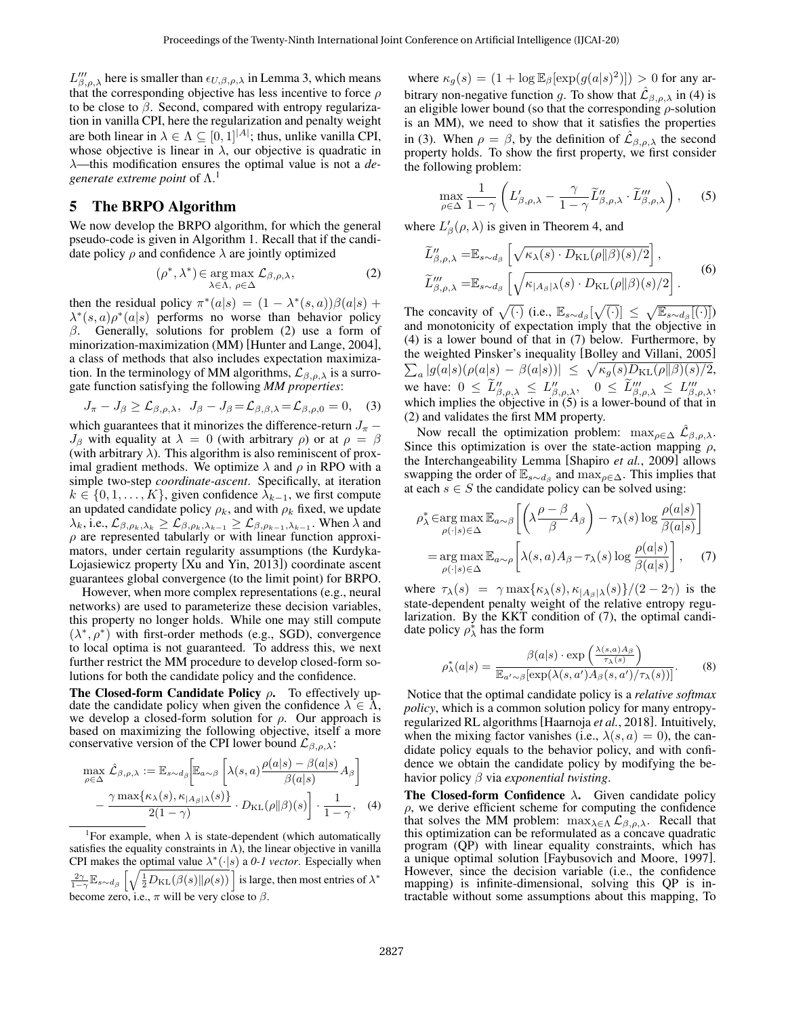$L''_{\beta,\rho,\lambda}$  here is smaller than  $\epsilon_{U,\beta,\rho,\lambda}$  in Lemma [3,](#page-2-1) which means that the corresponding objective has less incentive to force  $\rho$ to be close to  $\beta$ . Second, compared with entropy regularization in vanilla CPI, here the regularization and penalty weight are both linear in  $\lambda \in \Lambda \subseteq [0,1]^{|A|}$ ; thus, unlike vanilla CPI, whose objective is linear in  $\lambda$ , our objective is quadratic in λ—this modification ensures the optimal value is not a *de*generate extreme point of  $\Lambda$ .<sup>[1](#page-3-0)</sup>

## 5 The BRPO Algorithm

We now develop the BRPO algorithm, for which the general pseudo-code is given in Algorithm [1.](#page-5-0) Recall that if the candidate policy  $\rho$  and confidence  $\lambda$  are jointly optimized

$$
(\rho^*, \lambda^*) \in \underset{\lambda \in \Lambda, \ \rho \in \Delta}{\arg \max} \mathcal{L}_{\beta, \rho, \lambda}, \tag{2}
$$

then the residual policy  $\pi^*(a|s) = (1 - \lambda^*(s, a))\beta(a|s) +$  $\lambda^*(s, a) \rho^*(a|s)$  performs no worse than behavior policy  $\beta$ . Generally, solutions for problem [\(2\)](#page-3-1) use a form of minorization-maximization (MM) [\[Hunter and Lange, 2004\]](#page-6-21), a class of methods that also includes expectation maximization. In the terminology of MM algorithms,  $\mathcal{L}_{\beta,\rho,\lambda}$  is a surrogate function satisfying the following *MM properties*:

$$
J_{\pi} - J_{\beta} \geq \mathcal{L}_{\beta,\rho,\lambda}, \ J_{\beta} - J_{\beta} = \mathcal{L}_{\beta,\beta,\lambda} = \mathcal{L}_{\beta,\rho,0} = 0, \quad (3)
$$

which guarantees that it minorizes the difference-return  $J_{\pi}$  –  $J_\beta$  with equality at  $\lambda = 0$  (with arbitrary  $\rho$ ) or at  $\rho = \beta$ (with arbitrary  $\lambda$ ). This algorithm is also reminiscent of proximal gradient methods. We optimize  $\lambda$  and  $\rho$  in RPO with a simple two-step *coordinate-ascent*. Specifically, at iteration  $k \in \{0, 1, \ldots, K\}$ , given confidence  $\lambda_{k-1}$ , we first compute an updated candidate policy  $\rho_k$ , and with  $\rho_k$  fixed, we update  $\lambda_k$ , i.e.,  $\mathcal{L}_{\beta,\rho_k,\lambda_k} \geq \mathcal{L}_{\beta,\rho_k,\lambda_{k-1}} \geq \mathcal{L}_{\beta,\rho_{k-1},\lambda_{k-1}}$ . When  $\lambda$  and  $\rho$  are represented tabularly or with linear function approximators, under certain regularity assumptions (the Kurdyka-Lojasiewicz property [\[Xu and Yin, 2013\]](#page-6-22)) coordinate ascent guarantees global convergence (to the limit point) for BRPO.

However, when more complex representations (e.g., neural networks) are used to parameterize these decision variables, this property no longer holds. While one may still compute  $(\lambda^*, \rho^*)$  with first-order methods (e.g., SGD), convergence to local optima is not guaranteed. To address this, we next further restrict the MM procedure to develop closed-form solutions for both the candidate policy and the confidence.

The Closed-form Candidate Policy  $\rho$ . To effectively update the candidate policy when given the confidence  $\lambda \in \Lambda$ , we develop a closed-form solution for  $\rho$ . Our approach is based on maximizing the following objective, itself a more conservative version of the CPI lower bound  $\mathcal{L}_{\beta,\rho,\lambda}$ :

$$
\max_{\rho \in \Delta} \hat{\mathcal{L}}_{\beta,\rho,\lambda} := \mathbb{E}_{s \sim d_{\beta}} \bigg[ \mathbb{E}_{a \sim \beta} \left[ \lambda(s,a) \frac{\rho(a|s) - \beta(a|s)}{\beta(a|s)} A_{\beta} \right] - \frac{\gamma \max\{\kappa_{\lambda}(s), \kappa_{|A_{\beta}|\lambda}(s)\}}{2(1-\gamma)} \cdot D_{\text{KL}}(\rho || \beta)(s) \bigg] \cdot \frac{1}{1-\gamma}, \quad (4)
$$

<span id="page-3-0"></span><sup>1</sup>For example, when  $\lambda$  is state-dependent (which automatically satisfies the equality constraints in  $\Lambda$ ), the linear objective in vanilla CPI makes the optimal value  $\lambda^*(\cdot|s)$  a 0-1 vector. Especially when  $\frac{2\gamma}{1-\gamma}\mathbb{E}_{s\sim d_{\beta}}\left[\sqrt{\frac{1}{2}D_{\text{KL}}(\beta(s)\|\rho(s))}\,\right]$  is large, then most entries of  $\lambda^*$ become zero, i.e.,  $\pi$  will be very close to  $\beta$ .

where  $\kappa_g(s) = (1 + \log \mathbb{E}_{\beta}[\exp(g(a|s)^2)]) > 0$  for any arbitrary non-negative function g. To show that  $\hat{\mathcal{L}}_{\beta,\rho,\lambda}$  in [\(4\)](#page-3-2) is an eligible lower bound (so that the corresponding  $\rho$ -solution is an MM), we need to show that it satisfies the properties in [\(3\)](#page-3-3). When  $\rho = \beta$ , by the definition of  $\hat{\mathcal{L}}_{\beta,\rho,\lambda}$  the second property holds. To show the first property, we first consider the following problem:

<span id="page-3-5"></span>
$$
\max_{\rho \in \Delta} \frac{1}{1 - \gamma} \left( L'_{\beta, \rho, \lambda} - \frac{\gamma}{1 - \gamma} \widetilde{L}''_{\beta, \rho, \lambda} \cdot \widetilde{L}'''_{\beta, \rho, \lambda} \right), \quad (5)
$$

<span id="page-3-1"></span>where  $L'_{\beta}(\rho, \lambda)$  is given in Theorem [4,](#page-2-0) and

$$
\widetilde{L}_{\beta,\rho,\lambda}'' = \mathbb{E}_{s \sim d_{\beta}} \left[ \sqrt{\kappa_{\lambda}(s) \cdot D_{\text{KL}}(\rho || \beta)(s)/2} \right],
$$
\n
$$
\widetilde{L}_{\beta,\rho,\lambda}''' = \mathbb{E}_{s \sim d_{\beta}} \left[ \sqrt{\kappa_{|A_{\beta}| \lambda}(s) \cdot D_{\text{KL}}(\rho || \beta)(s)/2} \right].
$$
\n(6)

The concavity of  $\sqrt{(\cdot)}$  (i.e.,  $\mathbb{E}_{s \sim d_{\beta}}[\sqrt{(\cdot)}] \leq \sqrt{\mathbb{E}_{s \sim d_{\beta}}[(\cdot)]}$ ) and monotonicity of expectation imply that the objective in [\(4\)](#page-3-2) is a lower bound of that in [\(7\)](#page-3-4) below. Furthermore, by the weighted Pinsker's inequality [\[Bolley and Villani, 2005\]](#page-6-23)  $\sum_a |g(a|s)(\rho(a|s) - \beta(a|s))| \leq \sqrt{\kappa_g(s)D_{\text{KL}}(\rho||\beta)(s)/2},$ we have:  $0 \le \tilde{L}''_{\beta,\rho,\lambda} \le L''_{\beta,\rho,\lambda}, \quad 0 \le \tilde{L}'''_{\beta,\rho,\lambda} \le L'''_{\beta,\rho,\lambda}$ which implies the objective in [\(5\)](#page-3-5) is a lower-bound of that in [\(2\)](#page-3-1) and validates the first MM property.

<span id="page-3-3"></span>Now recall the optimization problem:  $\max_{\rho \in \Delta} \hat{\mathcal{L}}_{\beta,\rho,\lambda}$ . Since this optimization is over the state-action mapping  $\rho$ , the Interchangeability Lemma [\[Shapiro](#page-6-24) *et al.*, 2009] allows swapping the order of  $\mathbb{E}_{s \sim d_\beta}$  and  $\max_{\rho \in \Delta}$ . This implies that at each  $s \in S$  the candidate policy can be solved using:

$$
\rho_{\lambda}^{*} \in \arg \max_{\rho(\cdot|s) \in \Delta} \mathbb{E}_{a \sim \beta} \left[ \left( \lambda \frac{\rho - \beta}{\beta} A_{\beta} \right) - \tau_{\lambda}(s) \log \frac{\rho(a|s)}{\beta(a|s)} \right]
$$
  
= 
$$
\arg \max_{\rho(\cdot|s) \in \Delta} \mathbb{E}_{a \sim \rho} \left[ \lambda(s, a) A_{\beta} - \tau_{\lambda}(s) \log \frac{\rho(a|s)}{\beta(a|s)} \right], \quad (7)
$$

where  $\tau_{\lambda}(s) = \gamma \max{\kappa_{\lambda}(s), \kappa_{|A_{\beta}|\lambda}(s)}/(2-2\gamma)$  is the state-dependent penalty weight of the relative entropy regularization. By the KKT condition of [\(7\)](#page-3-4), the optimal candidate policy  $\rho_{\lambda}^{*}$  has the form

<span id="page-3-6"></span><span id="page-3-4"></span>
$$
\rho_{\lambda}^*(a|s) = \frac{\beta(a|s) \cdot \exp\left(\frac{\lambda(s,a)A_{\beta}}{\tau_{\lambda}(s)}\right)}{\mathbb{E}_{a'\sim\beta}[\exp(\lambda(s,a')A_{\beta}(s,a')/\tau_{\lambda}(s))]}.
$$
(8)

Notice that the optimal candidate policy is a *relative softmax policy*, which is a common solution policy for many entropyregularized RL algorithms[\[Haarnoja](#page-6-25) *et al.*, 2018]. Intuitively, when the mixing factor vanishes (i.e.,  $\lambda(s, a) = 0$ ), the candidate policy equals to the behavior policy, and with confidence we obtain the candidate policy by modifying the behavior policy β via *exponential twisting*.

<span id="page-3-2"></span>The Closed-form Confidence  $\lambda$ . Given candidate policy  $\rho$ , we derive efficient scheme for computing the confidence that solves the MM problem:  $\max_{\lambda \in \Lambda} \mathcal{L}_{\beta,\rho,\lambda}$ . Recall that this optimization can be reformulated as a concave quadratic program (QP) with linear equality constraints, which has a unique optimal solution [\[Faybusovich and Moore, 1997\]](#page-6-26). However, since the decision variable (i.e., the confidence mapping) is infinite-dimensional, solving this QP is intractable without some assumptions about this mapping, To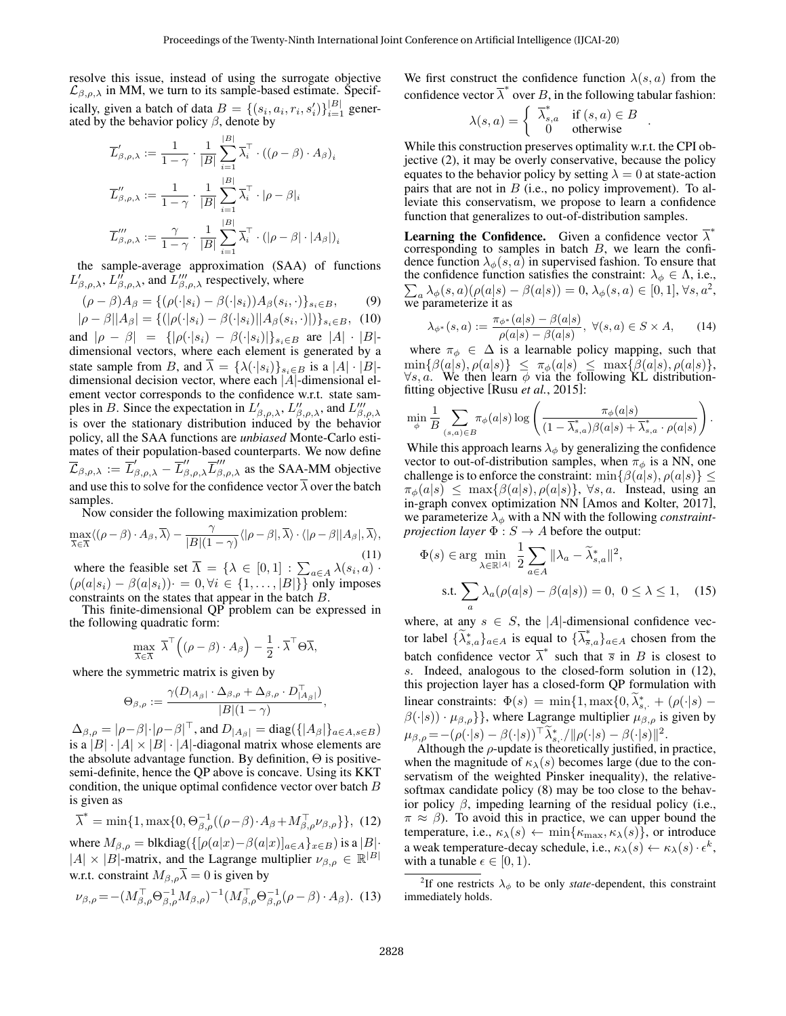resolve this issue, instead of using the surrogate objective  $\mathcal{L}_{\beta,\rho,\lambda}$  in MM, we turn to its sample-based estimate. Specifically, given a batch of data  $B = \{(s_i, a_i, r_i, s'_i)\}_{i=1}^{|B|}$  generated by the behavior policy  $\beta$ , denote by

$$
\overline{L}'_{\beta,\rho,\lambda} := \frac{1}{1-\gamma} \cdot \frac{1}{|B|} \sum_{i=1}^{|B|} \overline{\lambda}_i^{\top} \cdot ((\rho - \beta) \cdot A_{\beta})_i
$$
  

$$
\overline{L}''_{\beta,\rho,\lambda} := \frac{1}{1-\gamma} \cdot \frac{1}{|B|} \sum_{i=1}^{|B|} \overline{\lambda}_i^{\top} \cdot |\rho - \beta|_i
$$
  

$$
\overline{L}'''_{\beta,\rho,\lambda} := \frac{\gamma}{1-\gamma} \cdot \frac{1}{|B|} \sum_{i=1}^{|B|} \overline{\lambda}_i^{\top} \cdot (|\rho - \beta| \cdot |A_{\beta}|)_i
$$

the sample-average approximation (SAA) of functions  $L'_{\beta,\rho,\lambda}$ ,  $L''_{\beta,\rho,\lambda}$ , and  $L'''_{\beta,\rho,\lambda}$  respectively, where

$$
(\rho - \beta)A_{\beta} = \{ (\rho(\cdot|s_i) - \beta(\cdot|s_i))A_{\beta}(s_i, \cdot) \}_{s_i \in B},
$$
(9)  

$$
A_{\beta} = \frac{\beta |A_{\beta}|}{\beta - \beta} = \frac{\beta(\cdot|s_i)A_{\beta}(s_i, \cdot)}{\beta - \beta}.
$$
(10)

$$
|\rho - \beta||A_{\beta}| = \{ (|\rho(\cdot|s_i) - \beta(\cdot|s_i)||A_{\beta}(s_i, \cdot)) \}_{s_i \in B}, \quad (10)
$$

and  $|\rho - \beta| = {\{|\rho(\cdot|s_i) - \beta(\cdot|s_i)|\}_{s_i \in B}}$  are  $|A| \cdot |B|$ dimensional vectors, where each element is generated by a state sample from B, and  $\overline{\lambda} = {\lambda(\cdot|s_i)}_{s_i \in B}$  is a  $|A| \cdot |B|$ dimensional decision vector, where each |A|-dimensional element vector corresponds to the confidence w.r.t. state samples in B. Since the expectation in  $L'_{\beta,\rho,\lambda}$ ,  $L''_{\beta,\rho,\lambda}$ , and  $L'''_{\beta,\rho,\lambda}$ is over the stationary distribution induced by the behavior policy, all the SAA functions are *unbiased* Monte-Carlo estimates of their population-based counterparts. We now define  $\overline{\mathcal{L}}_{\beta,\rho,\lambda} := \overline{L}'_{\beta,\rho,\lambda} - \overline{L}''_{\beta,\rho,\lambda} \overline{L}'''_{\beta,\rho,\lambda}$  as the SAA-MM objective and use this to solve for the confidence vector  $\overline{\lambda}$  over the batch samples.

Now consider the following maximization problem:

$$
\max_{\overline{\lambda}\in\overline{\Lambda}}\langle(\rho-\beta)\cdot A_{\beta},\overline{\lambda}\rangle-\frac{\gamma}{|B|(1-\gamma)}\langle|\rho-\beta|,\overline{\lambda}\rangle\cdot\langle|\rho-\beta||A_{\beta}|,\overline{\lambda}\rangle,\tag{11}
$$

where the feasible set  $\overline{\Lambda} = \{ \lambda \in [0,1] : \sum_{a \in A} \lambda(s_i, a) \cdot \}$  $(\rho(a|s_i) - \beta(a|s_i)) = 0, \forall i \in \{1, \dots, |B|\}$  only imposes constraints on the states that appear in the batch B.

This finite-dimensional QP problem can be expressed in the following quadratic form:

$$
\max_{\overline{\lambda} \in \overline{\Lambda}} \overline{\lambda}^{\top} ((\rho - \beta) \cdot A_{\beta}) - \frac{1}{2} \cdot \overline{\lambda}^{\top} \Theta \overline{\lambda},
$$

where the symmetric matrix is given by

$$
\Theta_{\beta,\rho} := \frac{\gamma(D_{|A_{\beta}|} \cdot \Delta_{\beta,\rho} + \Delta_{\beta,\rho} \cdot D_{|A_{\beta}|}^{\top})}{|B|(1-\gamma)},
$$

 $\Delta_{\beta,\rho} = |\rho-\beta|\cdot|\rho-\beta|^{\top}$ , and  $D_{|A_{\beta}|} = \text{diag}(\{|A_{\beta}|\}_{a \in A, s \in B})$ is a  $|B| \cdot |A| \times |B| \cdot |A|$ -diagonal matrix whose elements are the absolute advantage function. By definition,  $\Theta$  is positivesemi-definite, hence the QP above is concave. Using its KKT condition, the unique optimal confidence vector over batch B is given as

<span id="page-4-1"></span>
$$
\overline{\lambda}^* = \min\{1, \max\{0, \Theta_{\beta,\rho}^{-1}((\rho - \beta) \cdot A_{\beta} + M_{\beta,\rho}^\top \nu_{\beta,\rho}\}\},\ (12)
$$

where  $M_{\beta,\rho} = \text{blkdiag}(\{[\rho(a|x)-\beta(a|x)]_{a\in A}\}_{x\in B})$  is a  $|B|$ .  $|A| \times |B|$ -matrix, and the Lagrange multiplier  $\nu_{\beta,\rho} \in \mathbb{R}^{|B|}$ w.r.t. constraint  $M_{\beta,o}\overline{\lambda}=0$  is given by

$$
\nu_{\beta,\rho} = -(M_{\beta,\rho}^{\top} \Theta_{\beta,\rho}^{-1} M_{\beta,\rho})^{-1} (M_{\beta,\rho}^{\top} \Theta_{\beta,\rho}^{-1} (\rho - \beta) \cdot A_{\beta}).
$$
 (13)

We first construct the confidence function  $\lambda(s, a)$  from the confidence vector  $\overline{\lambda}^*$  over B, in the following tabular fashion:

$$
\lambda(s,a) = \begin{cases} \overline{\lambda}_{s,a}^* & \text{if } (s,a) \in B \\ 0 & \text{otherwise} \end{cases}.
$$

While this construction preserves optimality w.r.t. the CPI objective [\(2\)](#page-3-1), it may be overly conservative, because the policy equates to the behavior policy by setting  $\lambda = 0$  at state-action pairs that are not in  $B$  (i.e., no policy improvement). To alleviate this conservatism, we propose to learn a confidence function that generalizes to out-of-distribution samples.

**Learning the Confidence.** Given a confidence vector  $\overline{\lambda}^*$ corresponding to samples in batch  $B$ , we learn the confidence function  $\lambda_{\phi}(s, a)$  in supervised fashion. To ensure that the confidence function satisfies the constraint:  $\lambda_{\phi} \in \Lambda$ , i.e.,  $\sum_{a} \lambda_{\phi}(s, a)(\rho(a|s) - \beta(a|s)) = 0, \lambda_{\phi}(s, a) \in [0, 1], \forall s, a^2,$  $\sum_{a} \lambda_{\phi}(s, a)(\rho(a|s) - \beta(a|s)) = 0, \lambda_{\phi}(s, a) \in [0, 1], \forall s, a^2,$  $\sum_{a} \lambda_{\phi}(s, a)(\rho(a|s) - \beta(a|s)) = 0, \lambda_{\phi}(s, a) \in [0, 1], \forall s, a^2,$ we parameterize it as

$$
\lambda_{\phi^*}(s, a) := \frac{\pi_{\phi^*}(a|s) - \beta(a|s)}{\rho(a|s) - \beta(a|s)}, \ \forall (s, a) \in S \times A,
$$
 (14)

where  $\pi_{\phi} \in \Delta$  is a learnable policy mapping, such that  $\min\{\beta(a|s), \rho(a|s)\}\ \le\ \pi_{\phi}(a|s)\ \le\ \max\{\beta(a|s), \rho(a|s)\},$  $\forall s, a$ . We then learn  $\phi$  via the following KL distributionfitting objective [Rusu *et al.*[, 2015\]](#page-6-27):

$$
\min_{\phi} \frac{1}{B} \sum_{(s,a) \in B} \pi_{\phi}(a|s) \log \left( \frac{\pi_{\phi}(a|s)}{(1 - \overline{\lambda}_{s,a}^*) \beta(a|s) + \overline{\lambda}_{s,a}^* \cdot \rho(a|s)} \right).
$$

While this approach learns  $\lambda_{\phi}$  by generalizing the confidence vector to out-of-distribution samples, when  $\pi_{\phi}$  is a NN, one challenge is to enforce the constraint:  $\min\{\beta(a|s), \rho(a|s)\}\leq$  $\pi_{\phi}(a|s) \leq \max\{\beta(a|s), \rho(a|s)\}, \forall s, a$ . Instead, using an in-graph convex optimization NN [\[Amos and Kolter, 2017\]](#page-6-28), we parameterize  $\lambda_{\phi}$  with a NN with the following *constraintprojection layer*  $\Phi$  :  $S \rightarrow A$  before the output:

<span id="page-4-2"></span>
$$
\Phi(s) \in \arg\min_{\lambda \in \mathbb{R}^{|A|}} \frac{1}{2} \sum_{a \in A} \|\lambda_a - \widetilde{\lambda}_{s,a}^*\|^2,
$$
  
s.t. 
$$
\sum_a \lambda_a(\rho(a|s) - \beta(a|s)) = 0, \ 0 \le \lambda \le 1,
$$
 (15)

where, at any  $s \in S$ , the |A|-dimensional confidence vector label  $\{\widetilde{\lambda}_{s,a}^*\}_{a \in A}$  is equal to  $\{\overline{\lambda}_{\overline{s},a}^*\}_{a \in A}$  chosen from the batch confidence vector  $\overline{\lambda}^*$  such that  $\overline{s}$  in B is closest to s. Indeed, analogous to the closed-form solution in [\(12\)](#page-4-1), this projection layer has a closed-form QP formulation with linear constraints:  $\Phi(s) = \min\{1, \max\{0, \tilde{\lambda}_{s, \cdot}^* + (\rho(\cdot|s) - \tilde{\lambda}_{s, \cdot}^*)\}\}$  $\beta(\cdot|s)) \cdot \mu_{\beta,\rho}$ }, where Lagrange multiplier  $\mu_{\beta,\rho}$  is given by  $\mu_{\beta,\rho} = -(\rho(\cdot|s) - \beta(\cdot|s))^{\top} \tilde{\lambda}_{s}^{*}, / \|\rho(\cdot|s) - \beta(\cdot|s)\|^{2}.$ 

Although the  $\rho$ -update is theoretically justified, in practice, when the magnitude of  $\kappa_{\lambda}(s)$  becomes large (due to the conservatism of the weighted Pinsker inequality), the relativesoftmax candidate policy [\(8\)](#page-3-6) may be too close to the behavior policy β, impeding learning of the residual policy (i.e.,  $\pi \approx \beta$ ). To avoid this in practice, we can upper bound the temperature, i.e.,  $\kappa_{\lambda}(s) \leftarrow \min{\kappa_{\max}, \kappa_{\lambda}(s)}$ , or introduce a weak temperature-decay schedule, i.e.,  $\kappa_{\lambda}(s) \leftarrow \kappa_{\lambda}(s) \cdot \epsilon^{k}$ , with a tunable  $\epsilon \in [0, 1)$ .

<span id="page-4-0"></span><sup>&</sup>lt;sup>2</sup>If one restricts  $\lambda_{\phi}$  to be only *state*-dependent, this constraint immediately holds.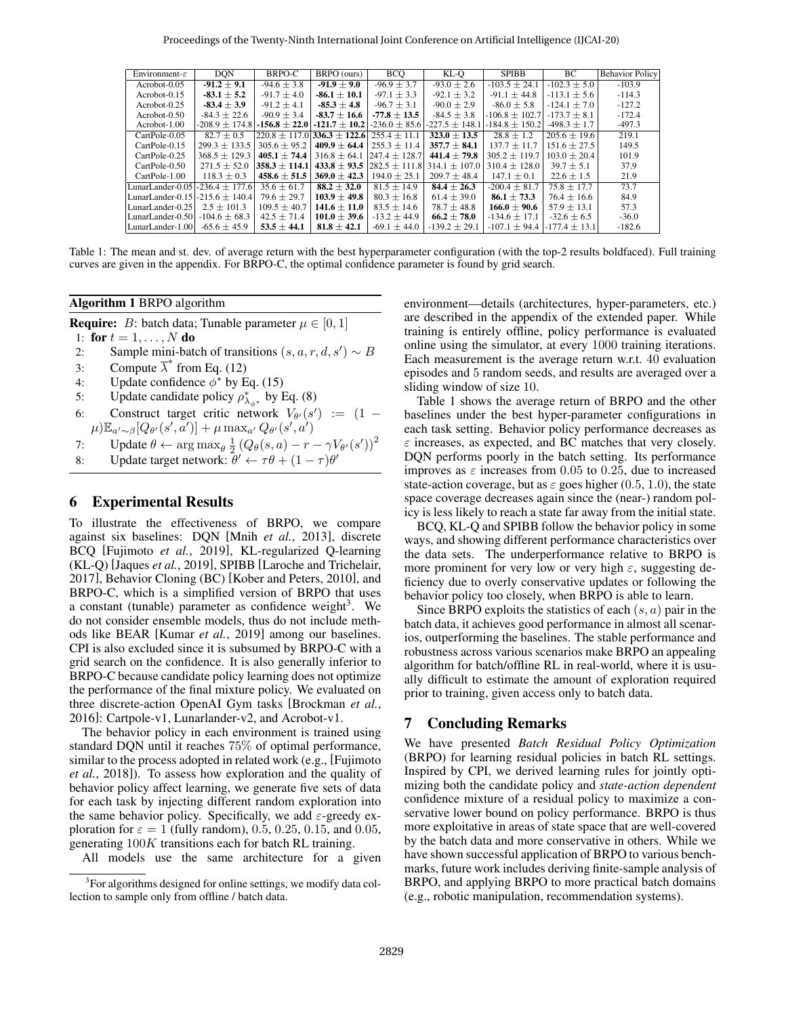<span id="page-5-2"></span>

| Environment- $\varepsilon$           | <b>DON</b>         | BRPO-C            | BRPO (ours)                               | <b>BCO</b>                         | KL-O               | <b>SPIBB</b>       | BC.               | <b>Behavior Policy</b> |
|--------------------------------------|--------------------|-------------------|-------------------------------------------|------------------------------------|--------------------|--------------------|-------------------|------------------------|
| Acrobot-0.05                         | $-91.2 \pm 9.1$    | $-94.6 \pm 3.8$   | $-91.9 \pm 9.0$                           | $-96.9 \pm 3.7$                    | $-93.0 \pm 2.6$    | $-103.5 \pm 24.1$  | $-102.3 \pm 5.0$  | $-103.9$               |
| $Acrobot-0.15$                       | $-83.1 \pm 5.2$    | $-91.7 \pm 4.0$   | $-86.1 \pm 10.1$                          | $-97.1 \pm 3.3$                    | $-92.1 \pm 3.2$    | $-91.1 \pm 44.8$   | $-113.1 \pm 5.6$  | $-114.3$               |
| Acrobot-0.25                         | $-83.4 \pm 3.9$    | $-91.2 \pm 4.1$   | $-85.3 \pm 4.8$                           | $-96.7 \pm 3.1$                    | $-90.0 \pm 2.9$    | $-86.0 \pm 5.8$    | $-124.1 \pm 7.0$  | $-127.2$               |
| Acrobot-0.50                         | $-84.3 \pm 22.6$   | $-90.9 \pm 3.4$   | $-83.7 \pm 16.6$                          | $-77.8 \pm 13.5$                   | $-84.5 \pm 3.8$    | $-106.8 \pm 102.7$ | $-173.7 + 8.1$    | $-172.4$               |
| Acrobot-1.00                         | $-208.9 \pm 174.8$ |                   | $-156.8 \pm 22.0$ $-121.7 \pm 10.2$ $\pm$ | $-236.0 \pm 85.6$                  | $-227.5 \pm 148.1$ | $-184.8 \pm 150.2$ | $-498.3 \pm 1.7$  | $-497.3$               |
| CartPole-0.05                        | $82.7 \pm 0.5$     |                   | $220.8 + 117.0$ 336.3 + 122.6             | $255.4 + 11.1$                     | $323.0 \pm 13.5$   | $28.8 \pm 1.2$     | $205.6 + 19.6$    | 219.1                  |
| CartPole-0.15                        | $299.3 + 133.5$    | $305.6 + 95.2$    | $409.9 + 64.4$                            | $255.3 + 11.4$                     | $357.7 \pm 84.1$   | $137.7 + 11.7$     | $151.6 + 27.5$    | 149.5                  |
| CartPole-0.25                        | $368.5 + 129.3$    | $405.1 + 74.4$    | $316.8 \pm 64.1$                          | $ 247.4 + 128.7 $                  | $441.4 \pm 79.8$   | $305.2 + 119.7$    | $103.0 + 20.4$    | 101.9                  |
| CartPole-0.50                        | $271.5 \pm 52.0$   | $358.3 \pm 114.1$ |                                           | $433.8 \pm 93.5$ 282.5 $\pm$ 111.8 | $314.1 \pm 107.0$  | $310.4 \pm 128.0$  | $39.7 \pm 5.1$    | 37.9                   |
| CartPole-1.00                        | $118.3 \pm 0.3$    | $458.6 \pm 51.5$  | $369.0 \pm 42.3$                          | $194.0 \pm 25.1$                   | $209.7 \pm 48.4$   | $147.1 \pm 0.1$    | $22.6 \pm 1.5$    | 21.9                   |
| LunarLander-0.05 - 236.4 $\pm$ 177.6 |                    | $35.6 \pm 61.7$   | $88.2 \pm 32.0$                           | $81.5 \pm 14.9$                    | $84.4 \pm 26.3$    | $-200.4 \pm 81.7$  | $75.8 \pm 17.7$   | 73.7                   |
| LunarLander-0.15 - 215.6 $\pm$ 140.4 |                    | $79.6 \pm 29.7$   | $103.9 \pm 49.8$                          | $80.3 \pm 16.8$                    | $61.4 \pm 39.0$    | $86.1 \pm 73.3$    | $76.4 \pm 16.6$   | 84.9                   |
| LunarLander-0.25                     | $2.5 \pm 101.3$    | $109.5 \pm 40.7$  | $141.6 + 11.0$                            | $83.5 + 14.6$                      | $78.7 \pm 48.8$    | $166.0 + 90.6$     | $57.9 + 13.1$     | 57.3                   |
| LunarLander-0.50 $-104.6 \pm 68.3$   |                    | $42.5 \pm 71.4$   | $101.0 \pm 39.6$                          | $-13.2 \pm 44.9$                   | $66.2 \pm 78.0$    | $-134.6 \pm 17.1$  | $-32.6 + 6.5$     | $-36.0$                |
| LunarLander-1.00                     | $-65.6 \pm 45.9$   | $53.5 \pm 44.1$   | $81.8 \pm 42.1$                           | $-69.1 \pm 44.0$                   | $-139.2 \pm 29.1$  | $-107.1 \pm 94.4$  | $-177.4 \pm 13.1$ | $-182.6$               |

Table 1: The mean and st. dev. of average return with the best hyperparameter configuration (with the top-2 results boldfaced). Full training curves are given in the appendix. For BRPO-C, the optimal confidence parameter is found by grid search.

#### <span id="page-5-0"></span>Algorithm 1 BRPO algorithm

**Require:** *B*: batch data; Tunable parameter  $\mu \in [0, 1]$ 

- 1: for  $t = 1, ..., N$  do
- 2: Sample mini-batch of transitions  $(s, a, r, d, s') \sim B$
- 3: Compute  $\overline{\lambda}^*$  from Eq. [\(12\)](#page-4-1)
- 4: Update confidence  $\phi^*$  by Eq. [\(15\)](#page-4-2)
- 5: Update candidate policy  $\rho_{\lambda_{\phi^*}}^*$  by Eq. [\(8\)](#page-3-6)
- 6: Construct target critic network  $V_{\theta}(s') := (1 (\mu)\mathbb{E}_{a'\sim\beta}[Q_{\theta'}(s',a')] + \mu \max_{a'}Q_{\theta'}(s',a')$
- 7: Update  $\theta \leftarrow \arg \max_{\theta} \frac{1}{2} (Q_{\theta}(s, a) r \gamma V_{\theta'}(s'))^2$
- 8: Update target network:  $\ddot{\theta}' \leftarrow \tau \theta + (1 \tau) \theta'$

### 6 Experimental Results

To illustrate the effectiveness of BRPO, we compare against six baselines: DQN [Mnih *et al.*[, 2013\]](#page-6-0), discrete BCQ [\[Fujimoto](#page-6-13) *et al.*, 2019], KL-regularized Q-learning (KL-Q) [\[Jaques](#page-6-15) *et al.*, 2019], SPIBB [\[Laroche and Trichelair,](#page-6-17) [2017\]](#page-6-17), Behavior Cloning (BC) [\[Kober and Peters, 2010\]](#page-6-29), and BRPO-C, which is a simplified version of BRPO that uses a constant (tunable) parameter as confidence weight<sup>[3](#page-5-1)</sup>. We do not consider ensemble models, thus do not include methods like BEAR [\[Kumar](#page-6-5) *et al.*, 2019] among our baselines. CPI is also excluded since it is subsumed by BRPO-C with a grid search on the confidence. It is also generally inferior to BRPO-C because candidate policy learning does not optimize the performance of the final mixture policy. We evaluated on three discrete-action OpenAI Gym tasks [\[Brockman](#page-6-30) *et al.*, [2016\]](#page-6-30): Cartpole-v1, Lunarlander-v2, and Acrobot-v1.

The behavior policy in each environment is trained using standard DQN until it reaches 75% of optimal performance, similar to the process adopted in related work (e.g., [\[Fujimoto](#page-6-7) *et al.*[, 2018\]](#page-6-7)). To assess how exploration and the quality of behavior policy affect learning, we generate five sets of data for each task by injecting different random exploration into the same behavior policy. Specifically, we add  $\varepsilon$ -greedy exploration for  $\varepsilon = 1$  (fully random), 0.5, 0.25, 0.15, and 0.05, generating 100K transitions each for batch RL training.

All models use the same architecture for a given

environment—details (architectures, hyper-parameters, etc.) are described in the appendix of the extended paper. While training is entirely offline, policy performance is evaluated online using the simulator, at every 1000 training iterations. Each measurement is the average return w.r.t. 40 evaluation episodes and 5 random seeds, and results are averaged over a sliding window of size 10.

Table [1](#page-5-2) shows the average return of BRPO and the other baselines under the best hyper-parameter configurations in each task setting. Behavior policy performance decreases as  $\varepsilon$  increases, as expected, and BC matches that very closely. DQN performs poorly in the batch setting. Its performance improves as  $\varepsilon$  increases from 0.05 to 0.25, due to increased state-action coverage, but as  $\varepsilon$  goes higher (0.5, 1.0), the state space coverage decreases again since the (near-) random policy is less likely to reach a state far away from the initial state.

BCQ, KL-Q and SPIBB follow the behavior policy in some ways, and showing different performance characteristics over the data sets. The underperformance relative to BRPO is more prominent for very low or very high  $\varepsilon$ , suggesting deficiency due to overly conservative updates or following the behavior policy too closely, when BRPO is able to learn.

Since BRPO exploits the statistics of each  $(s, a)$  pair in the batch data, it achieves good performance in almost all scenarios, outperforming the baselines. The stable performance and robustness across various scenarios make BRPO an appealing algorithm for batch/offline RL in real-world, where it is usually difficult to estimate the amount of exploration required prior to training, given access only to batch data.

### 7 Concluding Remarks

We have presented *Batch Residual Policy Optimization* (BRPO) for learning residual policies in batch RL settings. Inspired by CPI, we derived learning rules for jointly optimizing both the candidate policy and *state-action dependent* confidence mixture of a residual policy to maximize a conservative lower bound on policy performance. BRPO is thus more exploitative in areas of state space that are well-covered by the batch data and more conservative in others. While we have shown successful application of BRPO to various benchmarks, future work includes deriving finite-sample analysis of BRPO, and applying BRPO to more practical batch domains (e.g., robotic manipulation, recommendation systems).

<span id="page-5-1"></span><sup>&</sup>lt;sup>3</sup>For algorithms designed for online settings, we modify data collection to sample only from offline / batch data.